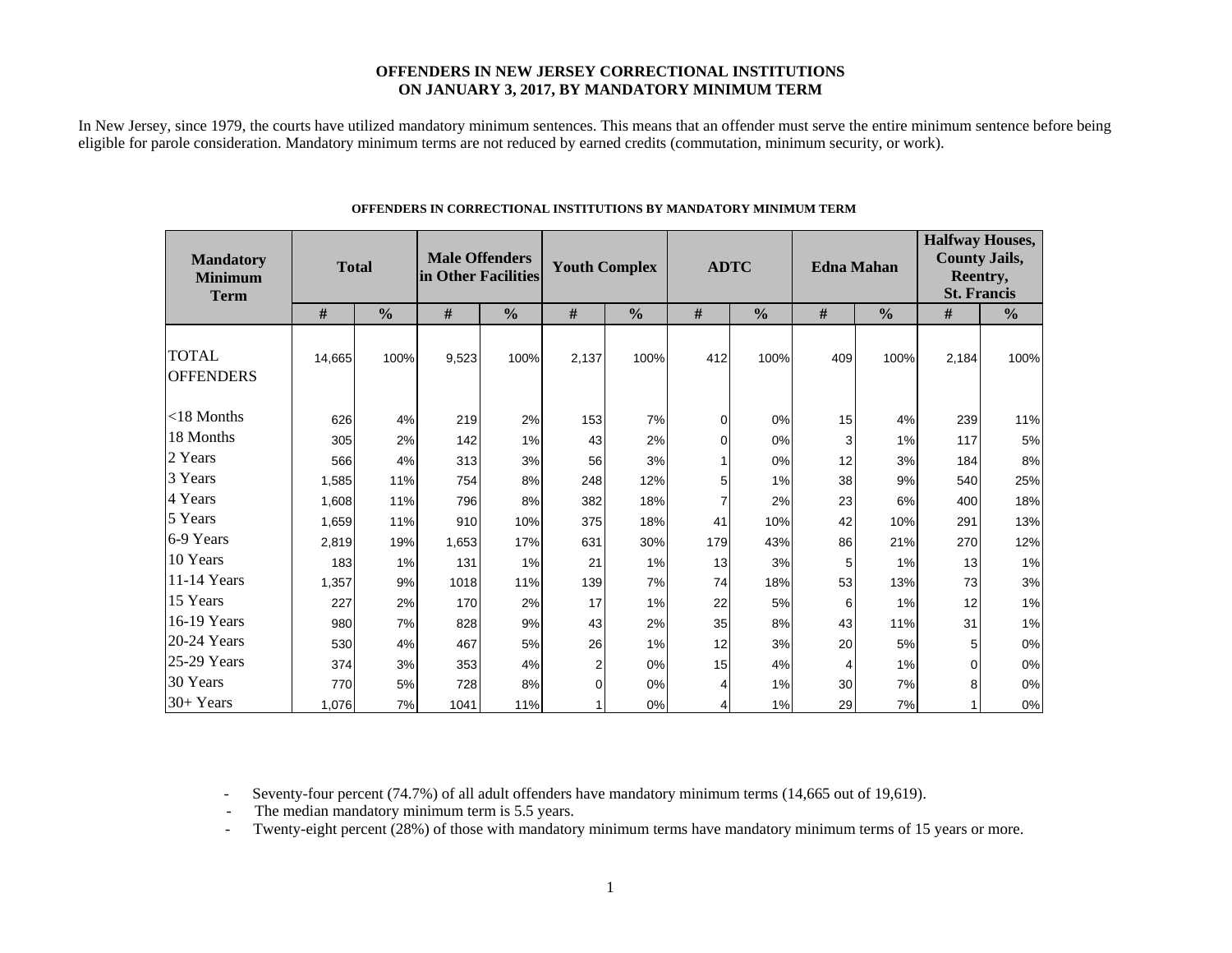### **OFFENDERS IN NEW JERSEY CORRECTIONAL INSTITUTIONS ON JANUARY 3, 2017, BY MANDATORY MINIMUM TERM**

In New Jersey, since 1979, the courts have utilized mandatory minimum sentences. This means that an offender must serve the entire minimum sentence before being eligible for parole consideration. Mandatory minimum terms are not reduced by earned credits (commutation, minimum security, or work).

| <b>Mandatory</b><br><b>Minimum</b><br><b>Term</b> | <b>Total</b> |               | <b>Male Offenders</b><br>in Other Facilities |               | <b>Youth Complex</b> |               | <b>ADTC</b> |               | <b>Edna Mahan</b> |               | <b>Halfway Houses,</b><br><b>County Jails,</b><br>Reentry,<br><b>St. Francis</b> |               |  |
|---------------------------------------------------|--------------|---------------|----------------------------------------------|---------------|----------------------|---------------|-------------|---------------|-------------------|---------------|----------------------------------------------------------------------------------|---------------|--|
|                                                   | #            | $\frac{0}{0}$ | #                                            | $\frac{0}{0}$ | $\#$                 | $\frac{0}{0}$ | #           | $\frac{0}{0}$ | #                 | $\frac{0}{0}$ | #                                                                                | $\frac{0}{0}$ |  |
| <b>TOTAL</b><br><b>OFFENDERS</b>                  | 14,665       | 100%          | 9,523                                        | 100%          | 2,137                | 100%          | 412         | 100%          | 409               | 100%          | 2,184                                                                            | 100%          |  |
| $<$ 18 Months                                     | 626          | 4%            | 219                                          | 2%            | 153                  | 7%            | 0           | 0%            | 15                | 4%            | 239                                                                              | 11%           |  |
| 18 Months                                         | 305          | 2%            | 142                                          | 1%            | 43                   | 2%            | 0           | 0%            | 3                 | 1%            | 117                                                                              | 5%            |  |
| 2 Years                                           | 566          | 4%            | 313                                          | 3%            | 56                   | 3%            |             | 0%            | 12                | 3%            | 184                                                                              | $8\%$         |  |
| 3 Years                                           | 1,585        | 11%           | 754                                          | 8%            | 248                  | 12%           | 5           | 1%            | 38                | 9%            | 540                                                                              | 25%           |  |
| 4 Years                                           | 1,608        | 11%           | 796                                          | 8%            | 382                  | 18%           |             | 2%            | 23                | 6%            | 400                                                                              | 18%           |  |
| 5 Years                                           | 1,659        | 11%           | 910                                          | 10%           | 375                  | 18%           | 41          | 10%           | 42                | 10%           | 291                                                                              | 13%           |  |
| 6-9 Years                                         | 2,819        | 19%           | 1,653                                        | 17%           | 631                  | 30%           | 179         | 43%           | 86                | 21%           | 270                                                                              | 12%           |  |
| 10 Years                                          | 183          | 1%            | 131                                          | 1%            | 21                   | 1%            | 13          | 3%            | 5                 | 1%            | 13                                                                               | 1%            |  |
| 11-14 Years                                       | 1,357        | 9%            | 1018                                         | 11%           | 139                  | 7%            | 74          | 18%           | 53                | 13%           | 73                                                                               | $3%$          |  |
| 15 Years                                          | 227          | 2%            | 170                                          | 2%            | 17                   | 1%            | 22          | 5%            | 6                 | 1%            | 12                                                                               | $1\%$         |  |
| 16-19 Years                                       | 980          | 7%            | 828                                          | 9%            | 43                   | 2%            | 35          | 8%            | 43                | 11%           | 31                                                                               | $1\%$         |  |
| 20-24 Years                                       | 530          | 4%            | 467                                          | 5%            | 26                   | 1%            | 12          | 3%            | 20                | 5%            | 5                                                                                | $0\%$         |  |
| 25-29 Years                                       | 374          | 3%            | 353                                          | 4%            | $\overline{2}$       | 0%            | 15          | 4%            | 4                 | 1%            | $\Omega$                                                                         | $0\%$         |  |
| 30 Years                                          | 770          | 5%            | 728                                          | 8%            | $\Omega$             | 0%            | 4           | 1%            | 30                | 7%            | 8                                                                                | $0\%$         |  |
| 30+ Years                                         | 1,076        | 7%            | 1041                                         | 11%           |                      | 0%            | 4           | 1%            | 29                | 7%            |                                                                                  | $0\%$         |  |

#### **OFFENDERS IN CORRECTIONAL INSTITUTIONS BY MANDATORY MINIMUM TERM**

- Seventy-four percent (74.7%) of all adult offenders have mandatory minimum terms (14,665 out of 19,619).

- The median mandatory minimum term is 5.5 years.

-Twenty-eight percent (28%) of those with mandatory minimum terms have mandatory minimum terms of 15 years or more.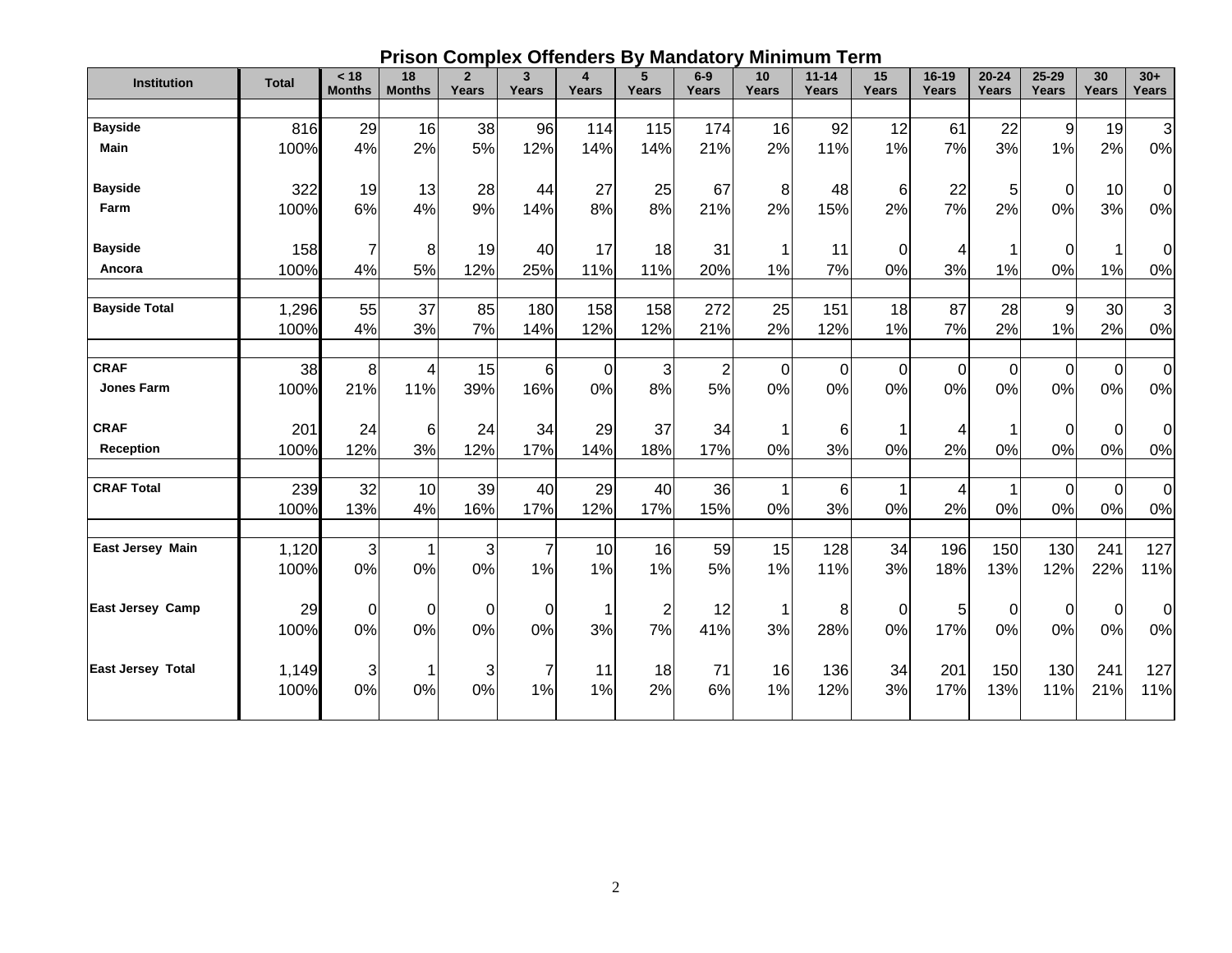|  |  |  | <b>Prison Complex Offenders By Mandatory Minimum Term</b> |
|--|--|--|-----------------------------------------------------------|
|--|--|--|-----------------------------------------------------------|

| <b>Institution</b>       | <b>Total</b> | < 18<br><b>Months</b> | 18<br><b>Months</b> | $\overline{2}$<br>Years | 3<br>Years     | $\overline{\mathbf{4}}$<br>Years | 5<br>Years              | $6-9$<br>Years | 10<br>Years             | $11 - 14$<br>Years | 15<br><b>Years</b> | $16-19$<br>Years | $20 - 24$<br>Years | $25 - 29$<br>Years | 30<br>Years | $30+$<br>Years |
|--------------------------|--------------|-----------------------|---------------------|-------------------------|----------------|----------------------------------|-------------------------|----------------|-------------------------|--------------------|--------------------|------------------|--------------------|--------------------|-------------|----------------|
|                          |              |                       |                     |                         |                |                                  |                         |                |                         |                    |                    |                  |                    |                    |             |                |
| <b>Bayside</b>           | 816          | 29                    | 16                  | 38                      | 96             | 114                              | 115                     | 174            | 16                      | 92                 | 12                 | 61               | 22                 | 9                  | 19          | 3              |
| <b>Main</b>              | 100%         | 4%                    | 2%                  | 5%                      | 12%            | 14%                              | 14%                     | 21%            | 2%                      | 11%                | 1%                 | 7%               | 3%                 | 1%                 | 2%          | 0%             |
| <b>Bayside</b>           | 322          | 19                    | 13                  | 28                      | 44             | 27                               | 25                      | 67             | 8                       | 48                 | $6 \mid$           | 22               | 5                  | $\mathbf 0$        | 10          | $\Omega$       |
| Farm                     | 100%         | 6%                    | 4%                  | 9%                      | 14%            | 8%                               | 8%                      | 21%            | 2%                      | 15%                | 2%                 | 7%               | 2%                 | 0%                 | 3%          | 0%             |
| <b>Bayside</b>           | 158          | $\overline{7}$        | 8                   | 19                      | 40             | 17                               | 18                      | 31             | $\overline{1}$          | 11                 | $\mathbf 0$        | 4                | 1                  | $\mathbf 0$        |             | 0              |
| Ancora                   | 100%         | 4%                    | 5%                  | 12%                     | 25%            | 11%                              | 11%                     | 20%            | 1%                      | 7%                 | 0%                 | 3%               | 1%                 | 0%                 | 1%          | 0%             |
| <b>Bayside Total</b>     | 1,296        | 55                    | 37                  | 85                      | 180            | 158                              | 158                     | 272            | 25                      | 151                | 18                 | 87               | 28                 | $\boldsymbol{9}$   | 30          | 3              |
|                          | 100%         | 4%                    | 3%                  | 7%                      | 14%            | 12%                              | 12%                     | 21%            | 2%                      | 12%                | 1%                 | 7%               | 2%                 | 1%                 | 2%          | 0%             |
| <b>CRAF</b>              | 38           | 8 <sup>1</sup>        | 4                   | 15                      | 6              | $\Omega$                         | 3                       | $\overline{2}$ | 0                       | 0                  | $\mathbf 0$        | $\mathbf 0$      | 0                  | $\mathbf 0$        | $\mathbf 0$ | $\mathbf 0$    |
| <b>Jones Farm</b>        | 100%         | 21%                   | 11%                 | 39%                     | 16%            | 0%                               | 8%                      | 5%             | 0%                      | 0%                 | 0%                 | 0%               | 0%                 | 0%                 | 0%          | 0%             |
| <b>CRAF</b>              | 201          | 24                    | 6                   | 24                      | 34             | 29                               | 37                      | 34             | -1                      | 6                  | 1                  | 4                | 1                  | $\mathbf 0$        | $\mathbf 0$ | 0              |
| Reception                | 100%         | 12%                   | 3%                  | 12%                     | 17%            | 14%                              | 18%                     | 17%            | 0%                      | 3%                 | 0%                 | 2%               | 0%                 | 0%                 | 0%          | 0%             |
| <b>CRAF Total</b>        | 239          | 32                    | 10                  | 39                      | 40             | 29                               | 40                      | 36             | $\overline{\mathbf{1}}$ | 6                  |                    | 4                | 1                  | $\pmb{0}$          | $\mathbf 0$ | $\mathbf 0$    |
|                          | 100%         | 13%                   | 4%                  | 16%                     | 17%            | 12%                              | 17%                     | 15%            | 0%                      | 3%                 | 0%                 | 2%               | 0%                 | 0%                 | 0%          | 0%             |
| <b>East Jersey Main</b>  | 1,120        | $\overline{3}$        |                     | $\mathbf{3}$            | $\overline{7}$ | 10                               | 16                      | 59             | 15                      | 128                | 34                 | 196              | 150                | 130                | 241         | 127            |
|                          | 100%         | 0%                    | 0%                  | 0%                      | 1%             | 1%                               | 1%                      | 5%             | 1%                      | 11%                | 3%                 | 18%              | 13%                | 12%                | 22%         | 11%            |
| <b>East Jersey Camp</b>  | 29           | 0                     | $\Omega$            | $\Omega$                | 0              | 1                                | $\overline{\mathbf{c}}$ | 12             | $\overline{\mathbf{1}}$ | 8                  | $\overline{0}$     | 5                | 0                  | 0                  | 0           | 0              |
|                          | 100%         | 0%                    | 0%                  | 0%                      | 0%             | 3%                               | 7%                      | 41%            | 3%                      | 28%                | 0%                 | 17%              | 0%                 | 0%                 | 0%          | 0%             |
| <b>East Jersey Total</b> | 1,149        | $\mathbf{3}$          |                     | 3                       |                | 11                               | 18                      | 71             | 16                      | 136                | 34                 | 201              | 150                | 130                | 241         | 127            |
|                          | 100%         | 0%                    | 0%                  | 0%                      | 1%             | 1%                               | 2%                      | 6%             | 1%                      | 12%                | 3%                 | 17%              | 13%                | 11%                | 21%         | 11%            |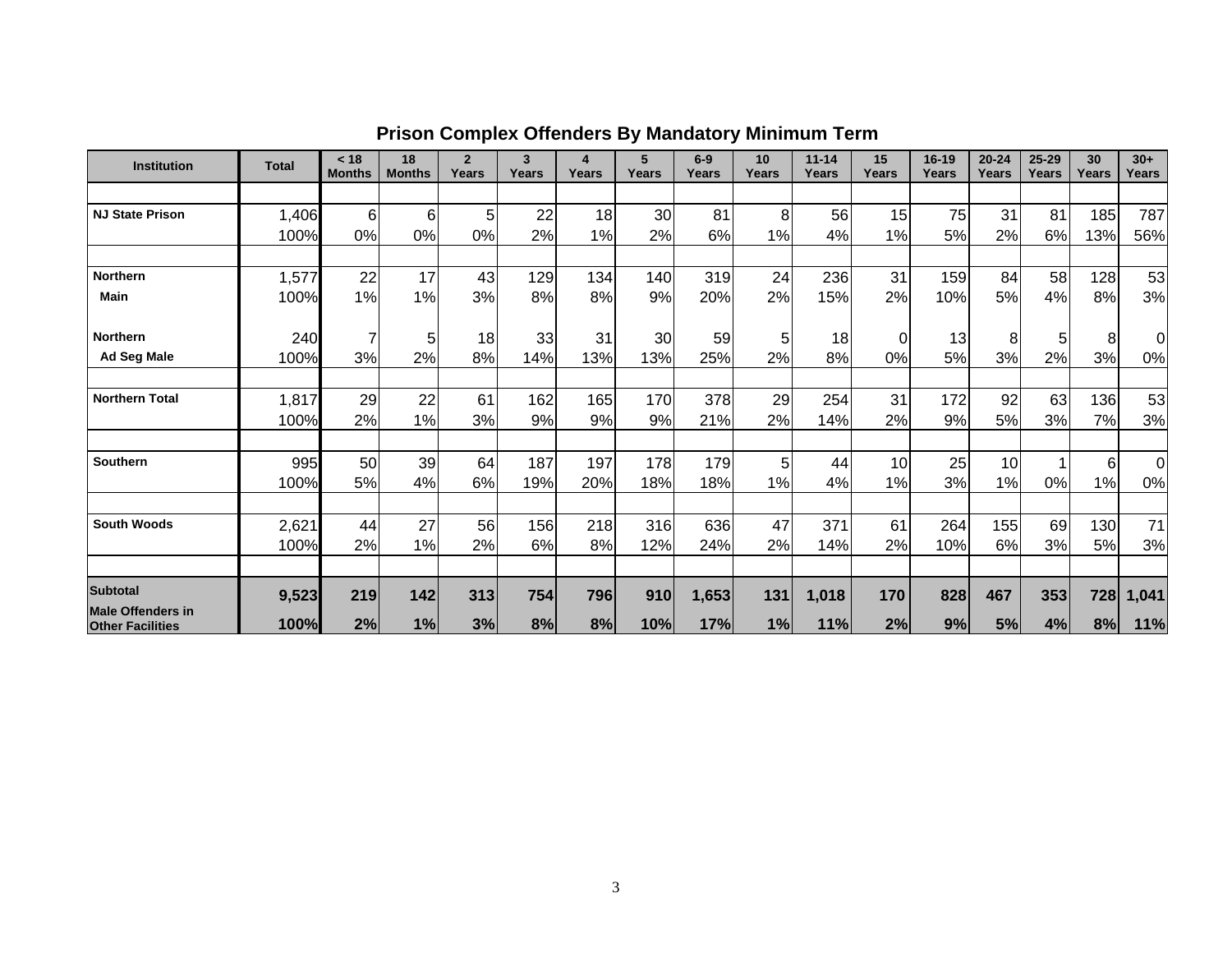| <b>Institution</b>                                  | <b>Total</b> | < 18<br><b>Months</b> | 18<br><b>Months</b> | $\mathbf{2}$<br>Years | 3<br>Years | 4<br>Years | 5<br>Years | $6-9$<br>Years | 10 <sup>1</sup><br>Years | $11 - 14$<br>Years | 15<br>Years | $16 - 19$<br>Years | $20 - 24$<br>Years | 25-29<br>Years | 30<br>Years | $30+$<br>Years |
|-----------------------------------------------------|--------------|-----------------------|---------------------|-----------------------|------------|------------|------------|----------------|--------------------------|--------------------|-------------|--------------------|--------------------|----------------|-------------|----------------|
|                                                     |              |                       |                     |                       |            |            |            |                |                          |                    |             |                    |                    |                |             |                |
| <b>NJ State Prison</b>                              | 1,406        | $6 \mid$              | 6                   | 5                     | 22         | 18         | 30         | 81             | 8                        | 56                 | 15          | 75                 | 31                 | 81             | 185         | 787            |
|                                                     | 100%         | 0%                    | 0%                  | 0%                    | 2%         | 1%         | 2%         | 6%             | 1%                       | 4%                 | 1%          | 5%                 | 2%                 | 6%             | 13%         | 56%            |
|                                                     |              |                       |                     |                       |            |            |            |                |                          |                    |             |                    |                    |                |             |                |
| <b>Northern</b>                                     | 1,577        | 22                    | 17                  | 43                    | 129        | 134        | 140        | 319            | 24                       | 236                | 31          | 159                | 84                 | 58             | 128         | 53             |
| Main                                                | 100%         | 1%                    | 1%                  | 3%                    | 8%         | 8%         | 9%         | 20%            | 2%                       | 15%                | 2%          | 10%                | 5%                 | 4%             | 8%          | 3%             |
| Northern                                            | 240          | 7                     | 5                   | 18                    | 33         | 31         | 30         | 59             | 5                        | 18                 | 0           | 13                 | 8                  | 5              | 8           | 0l             |
| <b>Ad Seg Male</b>                                  | 100%         | 3%                    | 2%                  | 8%                    | 14%        | 13%        | 13%        | 25%            | 2%                       | 8%                 | 0%          | 5%                 | 3%                 | 2%             | 3%          | 0%             |
|                                                     |              |                       |                     |                       |            |            |            |                |                          |                    |             |                    |                    |                |             |                |
| <b>Northern Total</b>                               | 1,817        | 29                    | 22                  | 61                    | 162        | 165        | 170        | 378            | 29                       | 254                | 31          | 172                | 92                 | 63             | 136         | 53             |
|                                                     | 100%         | 2%                    | 1%                  | 3%                    | 9%         | 9%         | 9%         | 21%            | 2%                       | 14%                | 2%          | 9%                 | 5%                 | 3%             | 7%          | 3%             |
| <b>Southern</b>                                     | 995          | 50                    | 39                  | 64                    | 187        | 197        | 178        | 179            | 5                        | 44                 | 10          | 25                 | 10                 |                | 6           | $\Omega$       |
|                                                     | 100%         | 5%                    | 4%                  | 6%                    | 19%        | 20%        | 18%        | 18%            | 1%                       | 4%                 | 1%          | 3%                 | 1%                 | 0%             | 1%          | 0%             |
|                                                     |              |                       |                     |                       |            |            |            |                |                          |                    |             |                    |                    |                |             |                |
| <b>South Woods</b>                                  | 2,621        | 44                    | 27                  | 56                    | 156        | 218        | 316        | 636            | 47                       | 371                | 61          | 264                | 155                | 69             | 130         | 71             |
|                                                     | 100%         | 2%                    | 1%                  | 2%                    | 6%         | 8%         | 12%        | 24%            | 2%                       | 14%                | 2%          | 10%                | 6%                 | 3%             | 5%          | 3%             |
| <b>Subtotal</b>                                     | 9,523        | 219                   | 142                 | 313                   | 754        | 796        | 910        | 1,653          | 131                      | 1,018              | 170         | 828                | 467                | 353            | 728         | 1,041          |
| <b>Male Offenders in</b><br><b>Other Facilities</b> | 100%         | 2%                    | 1%                  | 3%                    | 8%         | 8%         | 10%        | 17%            | 1%                       | 11%                | 2%          | 9%                 | 5%                 | 4%             | 8%          | 11%            |

## **Prison Complex Offenders By Mandatory Minimum Term**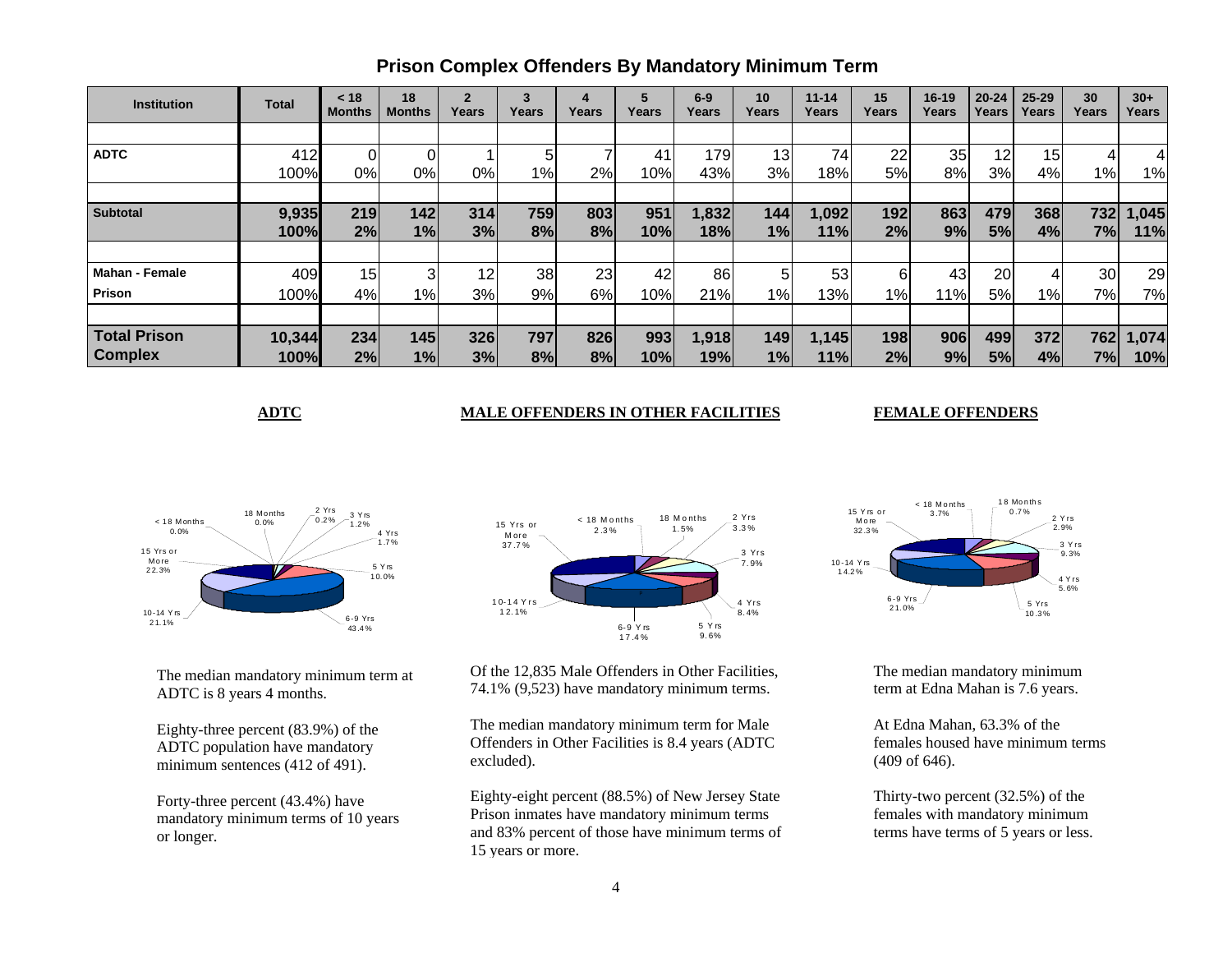| <b>Institution</b>    | <b>Total</b> | < 18<br><b>Months</b> | 18<br><b>Months</b> | $\overline{2}$<br>Years | 3<br>Years | 4<br>Years | 5<br>Years | $6-9$<br>Years | 10<br>Years | $11 - 14$<br>Years | 15<br>Years | $16 - 19$<br>Years | $20 - 24$<br>Years | $25 - 29$<br>Years | 30<br>Years | $30+$<br>Years |
|-----------------------|--------------|-----------------------|---------------------|-------------------------|------------|------------|------------|----------------|-------------|--------------------|-------------|--------------------|--------------------|--------------------|-------------|----------------|
|                       |              |                       |                     |                         |            |            |            |                |             |                    |             |                    |                    |                    |             |                |
| <b>ADTC</b>           | 412          |                       |                     |                         | 5          |            | 41         | 179            | 13          | 74                 | 22          | 35                 | 12                 | 15                 |             |                |
|                       | 100%         | 0%                    | 0%                  | 0%                      | 1%         | 2%         | 10%        | 43%            | 3%          | 18%                | 5%l         | 8%                 | 3%                 | 4%                 | 1%          | 1%             |
|                       |              |                       |                     |                         |            |            |            |                |             |                    |             |                    |                    |                    |             |                |
| <b>Subtotal</b>       | 9,935        | 219                   | 142                 | 314                     | 759        | 803        | 951        | 1,832          | 144         | 1,092              | 192         | 863                | 479                | 368                | 732         | 1,045          |
|                       | 100%         | 2%                    | 1%                  | 3%                      | 8%         | 8%         | 10%        | 18%            | 1%          | 11%                | 2%          | 9%                 | 5%                 | 4%                 | 7%          | 11%            |
|                       |              |                       |                     |                         |            |            |            |                |             |                    |             |                    |                    |                    |             |                |
| <b>Mahan - Female</b> | 409          | 15 <sub>1</sub>       |                     | 12                      | 38         | 23         | 42         | 86             | 5           | 53                 | 6           | 43                 | 20                 | 4                  | <b>30</b>   | 29             |
| Prison                | 100%         | 4%                    | 1%                  | 3%                      | 9%         | 6%         | 10%        | 21%            | $1\%$       | 13%                | $1\%$       | 11%                | 5%                 | 1%                 | 7%          | 7%             |
|                       |              |                       |                     |                         |            |            |            |                |             |                    |             |                    |                    |                    |             |                |
| <b>Total Prison</b>   | 10,344       | 234                   | 145                 | 326                     | 797        | 826        | 993        | 1,918          | 149         | 1,145              | 198         | 906                | 499                | 372                | 762         | 1,074          |
| <b>Complex</b>        | 100%         | 2%                    | 1%                  | 3%                      | 8%         | 8%         | 10%        | 19%            | 1%          | 11%                | 2%          | 9%                 | 5%                 | 4%                 | 7%          | 10%            |

### **Prison Complex Offenders By Mandatory Minimum Term**

#### **ADTC MALE OFFENDERS IN OTHER FACILITIES**

#### **FEMALE OFFENDERS**



The median mandatory minimum term at ADTC is 8 years 4 months.

Eighty-three percent (83.9%) of the ADTC population have mandatory minimum sentences (412 of 491).

Forty-three percent (43.4%) have mandatory minimum terms of 10 years or longer.



Of the 12,835 Male Offenders in Other Facilities, 74.1% (9,523) have mandatory minimum terms.

The median mandatory minimum term for Male Offenders in Other Facilities is 8.4 years (ADTC excluded).

Eighty-eight percent (88.5%) of New Jersey State Prison inmates have mandatory minimum terms and 83% percent of those have minimum terms of 15 years or more.



The median mandatory minimum term at Edna Mahan is 7.6 years.

At Edna Mahan, 63.3% of the females housed have minimum terms (409 of 646).

Thirty-two percent (32.5%) of the females with mandatory minimum terms have terms of 5 years or less.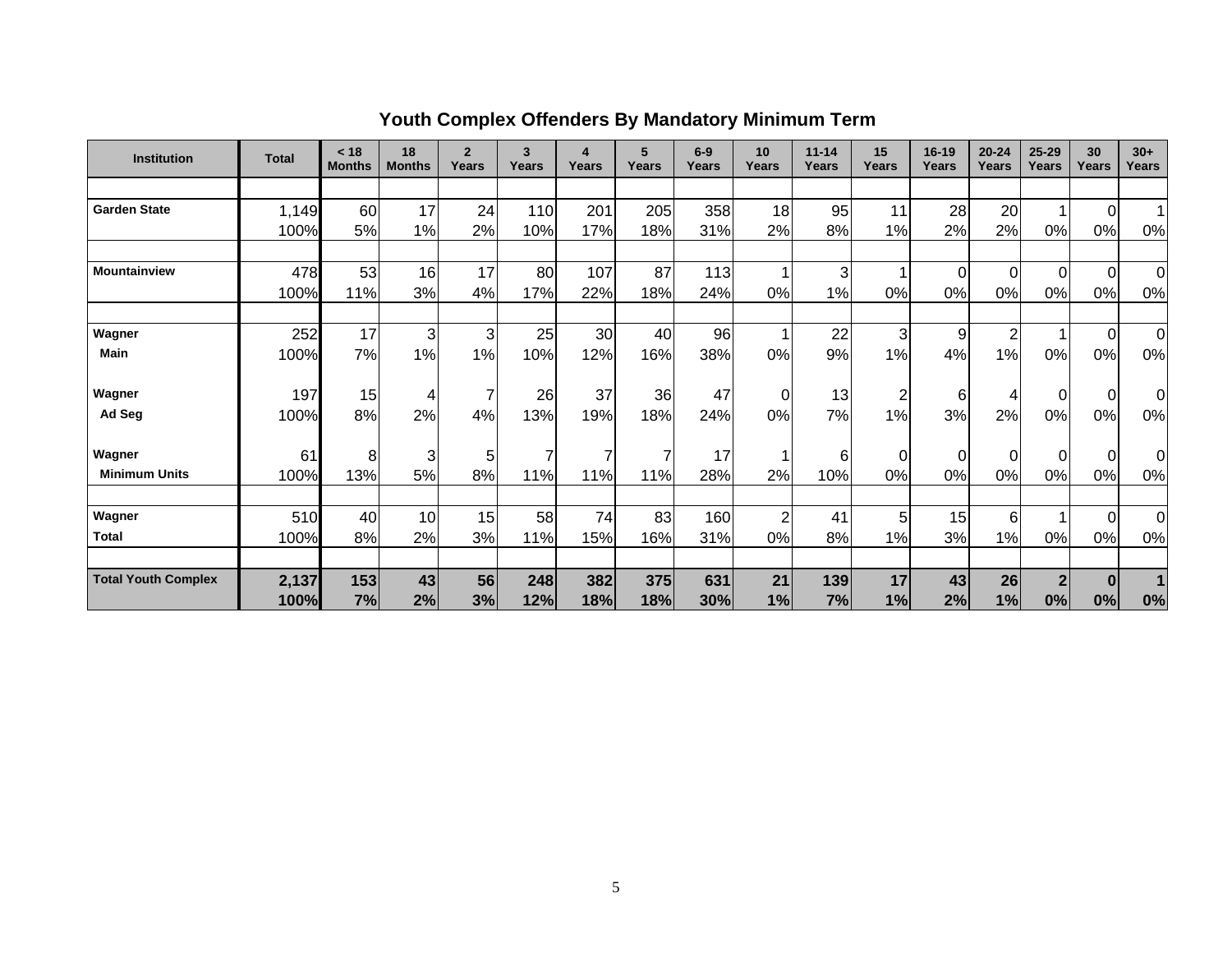| <b>Institution</b>         | <b>Total</b> | < 18<br><b>Months</b> | 18<br><b>Months</b> | $\overline{2}$<br>Years | $\overline{\mathbf{3}}$<br>Years | 4<br>Years | 5<br>Years | $6-9$<br>Years | 10<br>Years    | $11 - 14$<br>Years | 15<br>Years    | $16 - 19$<br>Years | $20 - 24$<br>Years | $25 - 29$<br>Years | 30<br>Years    | $30+$<br>Years |
|----------------------------|--------------|-----------------------|---------------------|-------------------------|----------------------------------|------------|------------|----------------|----------------|--------------------|----------------|--------------------|--------------------|--------------------|----------------|----------------|
|                            |              |                       |                     |                         |                                  |            |            |                |                |                    |                |                    |                    |                    |                |                |
| <b>Garden State</b>        | 1,149        | 60                    | 17                  | 24                      | 110                              | 201        | 205        | 358            | 18             | 95                 | 11             | 28                 | 20                 |                    | $\Omega$       |                |
|                            | 100%         | 5%                    | 1%                  | 2%                      | 10%                              | 17%        | 18%        | 31%            | 2%             | 8%                 | 1%             | 2%                 | 2%                 | 0%                 | 0%             | 0%             |
|                            |              |                       |                     |                         |                                  |            |            |                |                |                    |                |                    |                    |                    |                |                |
| Mountainview               | 478          | 53                    | 16                  | 17                      | 80                               | 107        | 87         | 113            | 1              | 3                  |                | $\mathbf 0$        | $\Omega$           | $\overline{0}$     | $\Omega$       | $\overline{0}$ |
|                            | 100%         | 11%                   | 3%                  | 4%                      | 17%                              | 22%        | 18%        | 24%            | 0%             | $1\%$              | 0%             | 0%                 | 0%                 | 0%                 | 0%             | 0%             |
|                            |              |                       |                     |                         |                                  |            |            |                |                |                    |                |                    |                    |                    |                |                |
| Wagner                     | 252          | 17                    | 3                   | 3                       | 25                               | 30         | 40         | 96             | 1              | 22                 | 3              | 9                  | $\overline{c}$     |                    | $\overline{0}$ | $\overline{0}$ |
| <b>Main</b>                | 100%         | 7%                    | 1%                  | 1%                      | 10%                              | 12%        | 16%        | 38%            | 0%             | 9%                 | 1%             | 4%                 | 1%                 | 0%                 | 0%             | 0%             |
|                            |              |                       |                     |                         |                                  |            |            |                |                |                    |                |                    |                    |                    |                |                |
| Wagner                     | 197          | 15                    | 4                   |                         | 26                               | 37         | 36         | 47             | 0              | 13                 | $\overline{c}$ | $6 \overline{6}$   | 4                  | $\Omega$           | $\mathbf 0$    | Οl             |
| Ad Seg                     | 100%         | 8%                    | 2%                  | 4%                      | 13%                              | 19%        | 18%        | 24%            | 0%             | 7%                 | 1%             | 3%                 | 2%                 | 0%                 | 0%             | 0%             |
|                            |              |                       |                     |                         |                                  |            |            |                |                |                    |                |                    |                    |                    |                |                |
| Wagner                     | 61           | 8                     | 3                   | 51                      | 7                                | 7          | 7          | 17             |                | 6                  | 0              | 0                  | 0                  | $\Omega$           | $\overline{0}$ | 0              |
| <b>Minimum Units</b>       | 100%         | 13%                   | 5%                  | 8%                      | 11%                              | 11%        | 11%        | 28%            | 2%             | 10%                | 0%             | 0%                 | 0%                 | 0%                 | 0%             | 0%             |
|                            |              |                       |                     |                         |                                  |            |            |                |                |                    |                |                    |                    |                    |                |                |
| Wagner                     | 510          | 40                    | 10                  | 15                      | 58                               | 74         | 83         | 160            | $\overline{2}$ | 41                 | 5              | 15                 | 6                  |                    | $\overline{0}$ | $\overline{0}$ |
| <b>Total</b>               | 100%         | 8%                    | 2%                  | 3%                      | 11%                              | 15%        | 16%        | 31%            | 0%             | 8%                 | 1%             | 3%                 | 1%                 | 0%                 | 0%             | 0%             |
|                            |              |                       |                     |                         |                                  |            |            |                |                |                    |                |                    |                    |                    |                |                |
| <b>Total Youth Complex</b> | 2,137        | 153                   | 43                  | 56                      | 248                              | 382        | 375        | 631            | 21             | 139                | 17             | 43                 | 26                 | $\mathbf{2}$       | $\bf{0}$       |                |
|                            | 100%         | 7%                    | 2%                  | 3%                      | 12%                              | 18%        | 18%        | 30%            | 1%             | 7%                 | 1%             | 2%                 | 1%                 | 0%                 | 0%             | 0%             |

# **Youth Complex Offenders By Mandatory Minimum Term**